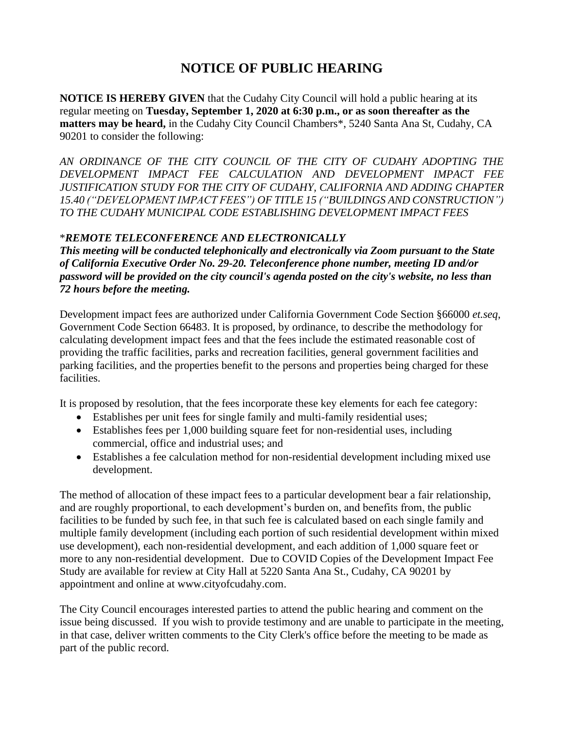## **NOTICE OF PUBLIC HEARING**

**NOTICE IS HEREBY GIVEN** that the Cudahy City Council will hold a public hearing at its regular meeting on **Tuesday, September 1, 2020 at 6:30 p.m., or as soon thereafter as the matters may be heard,** in the Cudahy City Council Chambers\*, 5240 Santa Ana St, Cudahy, CA 90201 to consider the following:

*AN ORDINANCE OF THE CITY COUNCIL OF THE CITY OF CUDAHY ADOPTING THE DEVELOPMENT IMPACT FEE CALCULATION AND DEVELOPMENT IMPACT FEE JUSTIFICATION STUDY FOR THE CITY OF CUDAHY, CALIFORNIA AND ADDING CHAPTER 15.40 ("DEVELOPMENT IMPACT FEES") OF TITLE 15 ("BUILDINGS AND CONSTRUCTION") TO THE CUDAHY MUNICIPAL CODE ESTABLISHING DEVELOPMENT IMPACT FEES*

## \**REMOTE TELECONFERENCE AND ELECTRONICALLY*

*This meeting will be conducted telephonically and electronically via Zoom pursuant to the State of California Executive Order No. 29-20. Teleconference phone number, meeting ID and/or password will be provided on the city council's agenda posted on the city's website, no less than 72 hours before the meeting.*

Development impact fees are authorized under California Government Code Section §66000 *et.seq*, Government Code Section 66483. It is proposed, by ordinance, to describe the methodology for calculating development impact fees and that the fees include the estimated reasonable cost of providing the traffic facilities, parks and recreation facilities, general government facilities and parking facilities, and the properties benefit to the persons and properties being charged for these facilities.

It is proposed by resolution, that the fees incorporate these key elements for each fee category:

- Establishes per unit fees for single family and multi-family residential uses;
- Establishes fees per 1,000 building square feet for non-residential uses, including commercial, office and industrial uses; and
- Establishes a fee calculation method for non-residential development including mixed use development.

The method of allocation of these impact fees to a particular development bear a fair relationship, and are roughly proportional, to each development's burden on, and benefits from, the public facilities to be funded by such fee, in that such fee is calculated based on each single family and multiple family development (including each portion of such residential development within mixed use development), each non-residential development, and each addition of 1,000 square feet or more to any non-residential development. Due to COVID Copies of the Development Impact Fee Study are available for review at City Hall at 5220 Santa Ana St., Cudahy, CA 90201 by appointment and online at www.cityofcudahy.com.

The City Council encourages interested parties to attend the public hearing and comment on the issue being discussed. If you wish to provide testimony and are unable to participate in the meeting, in that case, deliver written comments to the City Clerk's office before the meeting to be made as part of the public record.